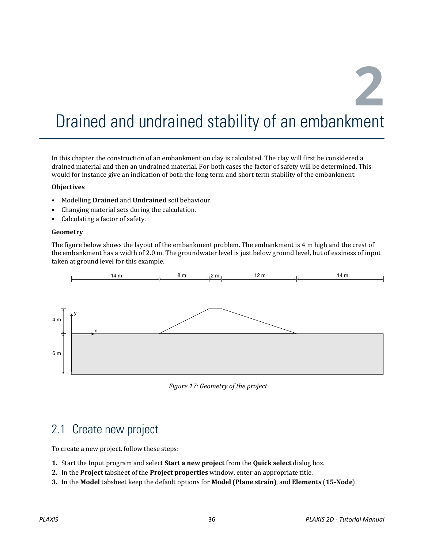**2**

# Drained and undrained stability of an embankment

In this chapter the construction of an embankment on clay is calculated. The clay will first be considered a drained material and then an undrained material. For both cases the factor of safety will be determined. This would for instance give an indication of both the long term and short term stability of the embankment.

#### **Objectives**

- Modelling **Drained** and **Undrained** soil behaviour.
- Changing material sets during the calculation.
- Calculating a factor of safety.

#### **Geometry**

The figure below shows the layout of the embankment problem. The embankment is 4 m high and the crest of the embankment has a width of 2.0 m. The groundwater level is just below ground level, but of easiness of input taken at ground level for this example.



*Figure 17: Geometry of the project*

### 2.1 Create new project

To create a new project, follow these steps:

- **1.** Start the Input program and select **Start a new project** from the **Quick select** dialog box.
- **2.** In the **Project** tabsheet of the **Project properties** window, enter an appropriate title.
- **3.** In the **Model** tabsheet keep the default options for **Model** (**Plane strain**), and **Elements** (**15-Node**).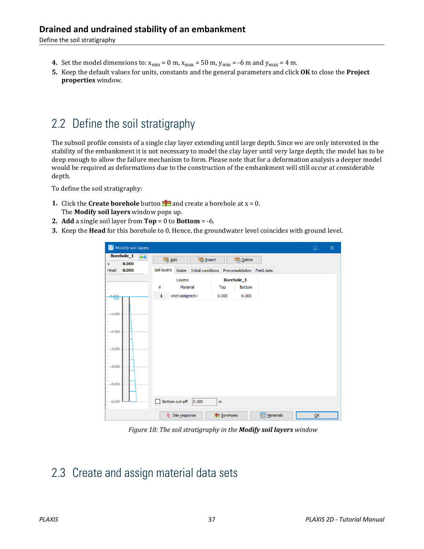#### **Drained and undrained stability of an embankment**

Define the soil stratigraphy

- **4.** Set the model dimensions to:  $x_{min} = 0$  m,  $x_{max} = 50$  m,  $y_{min} = -6$  m and  $y_{max} = 4$  m.
- **5.** Keep the default values for units, constants and the general parameters and click **OK** to close the **Project properties** window.

# 2.2 Define the soil stratigraphy

The subsoil profile consists of a single clay layer extending until large depth. Since we are only interested in the stability of the embankment it is not necessary to model the clay layer until very large depth; the model has to be deep enough to allow the failure mechanism to form. Please note that for a deformation analysis a deeper model would be required as deformations due to the construction of the embankment will still occur at considerable depth.

To define the soil stratigraphy:

- **1.** Click the **Create borehole** button **for a** and create a borehole at  $x = 0$ . The **Modify soil layers** window pops up.
- **2. Add** a single soil layer from **Top** = 0 to **Bottom** = -6.
- **3.** Keep the **Head** for this borehole to 0. Hence, the groundwater level coincides with ground level.

| <b>Borehole_1</b><br>$\leftrightarrow$<br>0.000<br>$\mathbf x$ |       | Add          |                         | Insert             |              | <b>Delete</b>               |  |  |  |
|----------------------------------------------------------------|-------|--------------|-------------------------|--------------------|--------------|-----------------------------|--|--|--|
| Head                                                           | 0.000 | Soil layers  | Water                   | Initial conditions |              | Preconsolidation Field data |  |  |  |
|                                                                |       |              |                         |                    |              |                             |  |  |  |
|                                                                |       |              | Layers                  |                    |              | <b>Borehole_1</b>           |  |  |  |
|                                                                |       | #            | Material                |                    | Top          | Bottom                      |  |  |  |
| 0.000                                                          |       | $\mathbf{1}$ | <not assigned=""></not> |                    | 0.000        | $-6.000$                    |  |  |  |
|                                                                |       |              |                         |                    |              |                             |  |  |  |
|                                                                |       |              |                         |                    |              |                             |  |  |  |
| $-1.000$                                                       |       |              |                         |                    |              |                             |  |  |  |
|                                                                |       |              |                         |                    |              |                             |  |  |  |
|                                                                |       |              |                         |                    |              |                             |  |  |  |
| $-2,000$                                                       |       |              |                         |                    |              |                             |  |  |  |
|                                                                |       |              |                         |                    |              |                             |  |  |  |
|                                                                |       |              |                         |                    |              |                             |  |  |  |
|                                                                |       |              |                         |                    |              |                             |  |  |  |
|                                                                |       |              |                         |                    |              |                             |  |  |  |
|                                                                |       |              |                         |                    |              |                             |  |  |  |
|                                                                |       |              |                         |                    |              |                             |  |  |  |
|                                                                |       |              |                         |                    |              |                             |  |  |  |
|                                                                |       |              |                         |                    |              |                             |  |  |  |
|                                                                |       |              |                         |                    |              |                             |  |  |  |
|                                                                |       |              |                         |                    |              |                             |  |  |  |
| $-3.000$<br>$-4,000$<br>$-5,000$                               |       |              |                         |                    |              |                             |  |  |  |
|                                                                |       |              |                         |                    |              |                             |  |  |  |
| $-6,000$                                                       |       |              | Bottom cut-off          | 0.000              | $\mathsf{m}$ |                             |  |  |  |

*Figure 18: The soil stratigraphy in the Modify soil layers window*

### 2.3 Create and assign material data sets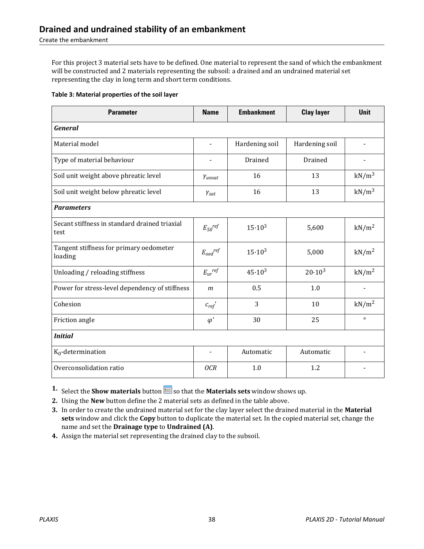For this project 3 material sets have to be defined. One material to represent the sand of which the embankment will be constructed and 2 materials representing the subsoil: a drained and an undrained material set representing the clay in long term and short term conditions.

|  |  |  |  | Table 3: Material properties of the soil layer |  |  |
|--|--|--|--|------------------------------------------------|--|--|
|--|--|--|--|------------------------------------------------|--|--|

| <b>Parameter</b>                                      | <b>Name</b>              | <b>Embankment</b> | <b>Clay layer</b> | <b>Unit</b>       |  |  |
|-------------------------------------------------------|--------------------------|-------------------|-------------------|-------------------|--|--|
| <b>General</b>                                        |                          |                   |                   |                   |  |  |
| Material model                                        |                          | Hardening soil    | Hardening soil    |                   |  |  |
| Type of material behaviour                            |                          | Drained           | <b>Drained</b>    |                   |  |  |
| Soil unit weight above phreatic level                 | Yunsat                   | 16                | 13                | kN/m <sup>3</sup> |  |  |
| Soil unit weight below phreatic level                 | $\gamma_{\text{sat}}$    | 16                | 13                | $kN/m^3$          |  |  |
| <b>Parameters</b>                                     |                          |                   |                   |                   |  |  |
| Secant stiffness in standard drained triaxial<br>test | $E_{50}$ ref             | $15 \cdot 10^{3}$ | 5,600             | kN/m <sup>2</sup> |  |  |
| Tangent stiffness for primary oedometer<br>loading    | $E_{oed}$ <sup>ref</sup> | $15 \cdot 10^3$   | 5,000             | kN/m <sup>2</sup> |  |  |
| Unloading / reloading stiffness                       | $E_{ur}$ ref             | $45.10^{3}$       | $20.10^{3}$       | kN/m <sup>2</sup> |  |  |
| Power for stress-level dependency of stiffness        | $\boldsymbol{m}$         | 0.5               | 1.0               |                   |  |  |
| Cohesion                                              | $c_{ref}$                | 3                 | 10                | kN/m <sup>2</sup> |  |  |
| Friction angle                                        | $\varphi'$               | 30                | 25                | $\circ$           |  |  |
| <b>Initial</b>                                        |                          |                   |                   |                   |  |  |
| $K_0$ -determination                                  |                          | Automatic         | Automatic         | $\blacksquare$    |  |  |
| Overconsolidation ratio                               | <b>OCR</b>               | 1.0               | 1.2               |                   |  |  |

**1.** Select the **Show materials** button  $\blacksquare$  so that the **Materials sets** window shows up.

**2.** Using the **New** button define the 2 material sets as defined in the table above.

**3.** In order to create the undrained material set for the clay layer select the drained material in the **Material sets** window and click the **Copy** button to duplicate the material set. In the copied material set, change the name and set the **Drainage type** to **Undrained (A)**.

**4.** Assign the material set representing the drained clay to the subsoil.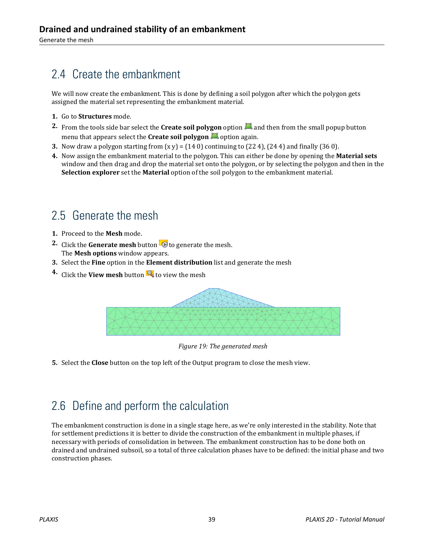# 2.4 Create the embankment

We will now create the embankment. This is done by defining a soil polygon after which the polygon gets assigned the material set representing the embankment material.

- **1.** Go to **Structures** mode.
- **2.** From the tools side bar select the **Create soil polygon** option **a** and then from the small popup button menu that appears select the **Create soil polygon** option again.
- **3.** Now draw a polygon starting from  $(x y) = (140)$  continuing to  $(224)$ ,  $(244)$  and finally  $(360)$ .
- **4.** Now assign the embankment material to the polygon. This can either be done by opening the **Material sets** window and then drag and drop the material set onto the polygon, or by selecting the polygon and then in the **Selection explorer** set the **Material** option of the soil polygon to the embankment material.

# 2.5 Generate the mesh

- **1.** Proceed to the **Mesh** mode.
- **2.** Click the **Generate mesh** button **the generate the mesh.** The **Mesh options** window appears.
- **3.** Select the **Fine** option in the **Element distribution** list and generate the mesh
- **4.** Click the **View mesh** button **the view the mesh**



*Figure 19: The generated mesh*

**5.** Select the **Close** button on the top left of the Output program to close the mesh view.

## 2.6 Define and perform the calculation

The embankment construction is done in a single stage here, as we're only interested in the stability. Note that for settlement predictions it is better to divide the construction of the embankment in multiple phases, if necessary with periods of consolidation in between. The embankment construction has to be done both on drained and undrained subsoil, so a total of three calculation phases have to be defined: the initial phase and two construction phases.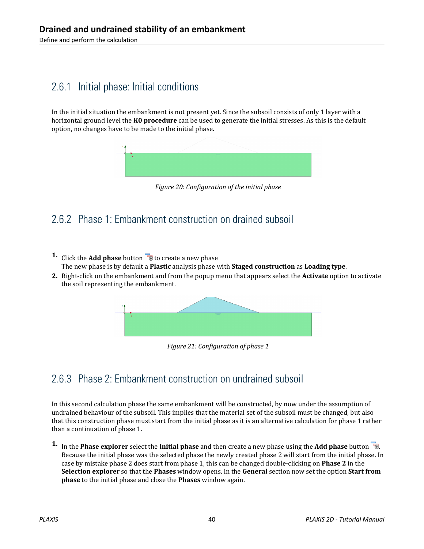### 2.6.1 Initial phase: Initial conditions

In the initial situation the embankment is not present yet. Since the subsoil consists of only 1 layer with a horizontal ground level the **K0 procedure** can be used to generate the initial stresses. As this is the default option, no changes have to be made to the initial phase.



### 2.6.2 Phase 1: Embankment construction on drained subsoil

- **1.** Click the **Add phase** button **the contract of the Add phase** The new phase is by default a **Plastic** analysis phase with **Staged construction** as **Loading type**.
- **2.** Right-click on the embankment and from the popup menu that appears select the **Activate** option to activate the soil representing the embankment.



*Figure 21: Configuration of phase 1*

### 2.6.3 Phase 2: Embankment construction on undrained subsoil

In this second calculation phase the same embankment will be constructed, by now under the assumption of undrained behaviour of the subsoil. This implies that the material set of the subsoil must be changed, but also that this construction phase must start from the initial phase as it is an alternative calculation for phase 1 rather than a continuation of phase 1.

**1.** In the **Phase explorer** select the **Initial phase** and then create a new phase using the **Add phase** button  $\overline{\mathbf{B}}$ . Because the initial phase was the selected phase the newly created phase 2 will start from the initial phase. In case by mistake phase 2 does start from phase 1, this can be changed double-clicking on **Phase 2** in the **Selection explorer** so that the **Phases** window opens. In the **General** section now set the option **Start from phase** to the initial phase and close the **Phases** window again.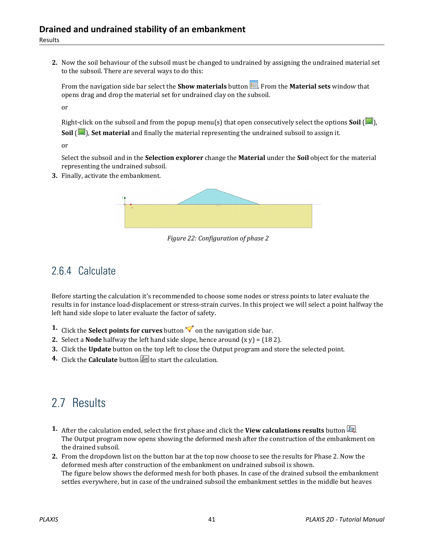**2.** Now the soil behaviour of the subsoil must be changed to undrained by assigning the undrained material set to the subsoil. There are several ways to do this:

From the navigation side bar select the **Show materials** button **...** From the **Material sets** window that opens drag and drop the material set for undrained clay on the subsoil.

or

Right-click on the subsoil and from the popup menu(s) that open consecutively select the options **Soil** ( ), **Soil** ( ), **Set material** and finally the material representing the undrained subsoil to assign it.

or

Select the subsoil and in the **Selection explorer** change the **Material** under the **Soil** object for the material representing the undrained subsoil.

**3.** Finally, activate the embankment.



*Figure 22: Configuration of phase 2*

### 2.6.4 Calculate

Before starting the calculation it's recommended to choose some nodes or stress points to later evaluate the results in for instance load-displacement or stress-strain curves. In this project we will select a point halfway the left hand side slope to later evaluate the factor of safety.

- **1.** Click the **Select points for curves** button  $\blacktriangledown$  on the navigation side bar.
- **2.** Select a **Node** halfway the left hand side slope, hence around  $(x, y) = (182)$ .
- **3.** Click the **Update** button on the top left to close the Output program and store the selected point.
- **4.** Click the **Calculate** button  $\boxed{\mathbf{f}^{\mathsf{av}}}$  to start the calculation.

# 2.7 Results

- **1.** After the calculation ended, select the first phase and click the **View calculations results** button . The Output program now opens showing the deformed mesh after the construction of the embankment on the drained subsoil.
- **2.** From the dropdown list on the button bar at the top now choose to see the results for Phase 2. Now the deformed mesh after construction of the embankment on undrained subsoil is shown. The figure below shows the deformed mesh for both phases. In case of the drained subsoil the embankment settles everywhere, but in case of the undrained subsoil the embankment settles in the middle but heaves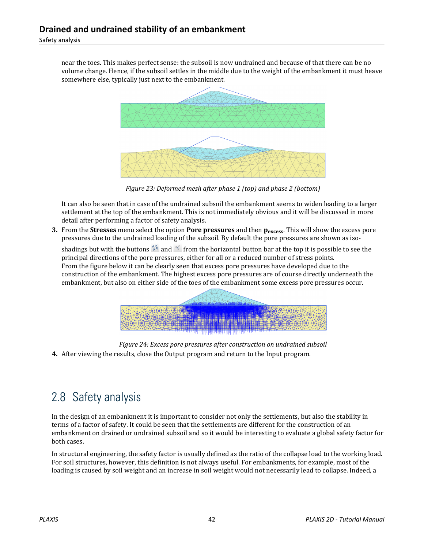near the toes. This makes perfect sense: the subsoil is now undrained and because of that there can be no volume change. Hence, if the subsoil settles in the middle due to the weight of the embankment it must heave somewhere else, typically just next to the embankment.



*Figure 23: Deformed mesh after phase 1 (top) and phase 2 (bottom)*

It can also be seen that in case of the undrained subsoil the embankment seems to widen leading to a larger settlement at the top of the embankment. This is not immediately obvious and it will be discussed in more detail after performing a factor of safety analysis.

**3.** From the **Stresses** menu select the option **Pore pressures** and then **pexcess**. This will show the excess pore pressures due to the undrained loading of the subsoil. By default the pore pressures are shown as iso-

shadings but with the buttons  $\frac{1}{2}$  and  $\frac{1}{2}$  from the horizontal button bar at the top it is possible to see the principal directions of the pore pressures, either for all or a reduced number of stress points. From the figure below it can be clearly seen that excess pore pressures have developed due to the construction of the embankment. The highest excess pore pressures are of course directly underneath the embankment, but also on either side of the toes of the embankment some excess pore pressures occur.



*Figure 24: Excess pore pressures after construction on undrained subsoil* **4.** After viewing the results, close the Output program and return to the Input program.

# 2.8 Safety analysis

In the design of an embankment it is important to consider not only the settlements, but also the stability in terms of a factor of safety. It could be seen that the settlements are different for the construction of an embankment on drained or undrained subsoil and so it would be interesting to evaluate a global safety factor for both cases.

In structural engineering, the safety factor is usually defined as the ratio of the collapse load to the working load. For soil structures, however, this definition is not always useful. For embankments, for example, most of the loading is caused by soil weight and an increase in soil weight would not necessarily lead to collapse. Indeed, a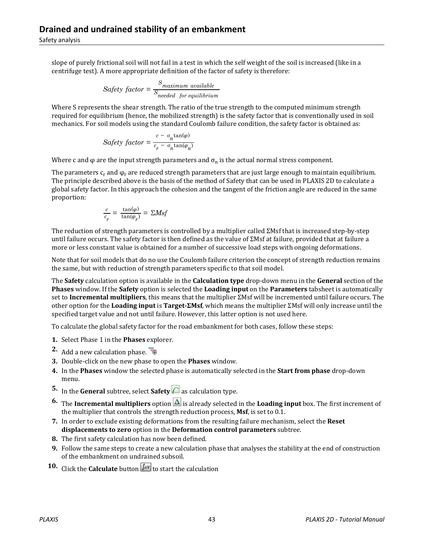#### **Drained and undrained stability of an embankment**

#### Safety analysis

slope of purely frictional soil will not fail in a test in which the self weight of the soil is increased (like in a centrifuge test). A more appropriate definition of the factor of safety is therefore:

Safety factor = 
$$
\frac{S_{maximum\ available}}{S_{needed\ for\ equilibrium}}
$$

Where S represents the shear strength. The ratio of the true strength to the computed minimum strength required for equilibrium (hence, the mobilized strength) is the safety factor that is conventionally used in soil mechanics. For soil models using the standard Coulomb failure condition, the safety factor is obtained as:

$$
Safety\ factor = \frac{c - o_n \tan(\varphi)}{c_r - o_n \tan(\varphi_n)}
$$

Where c and  $\varphi$  are the input strength parameters and  $\sigma_n$  is the actual normal stress component.

The parameters  $\mathsf{c}_\mathrm{r}$  and  $\pmb{\varphi}_\mathrm{r}$  are reduced strength parameters that are just large enough to maintain equilibrium. The principle described above is the basis of the method of Safety that can be used in PLAXIS 2D to calculate a global safety factor. In this approach the cohesion and the tangent of the friction angle are reduced in the same proportion:

$$
\frac{c}{c_r} = \frac{\tan(\varphi)}{\tan(\varphi_r)} = \Sigma Msf
$$

The reduction of strength parameters is controlled by a multiplier called ΣMsf that is increased step-by-step until failure occurs. The safety factor is then defined as the value of ΣMsf at failure, provided that at failure a more or less constant value is obtained for a number of successive load steps with ongoing deformations.

Note that for soil models that do no use the Coulomb failure criterion the concept of strength reduction remains the same, but with reduction of strength parameters specific to that soil model.

The **Safety** calculation option is available in the **Calculation type** drop-down menu in the **General** section of the **Phases** window. If the **Safety** option is selected the **Loading input** on the **Parameters** tabsheet is automatically set to **Incremental multipliers**, this means that the multiplier ΣMsf will be incremented until failure occurs. The other option for the **Loading input** is **Target-ΣMsf**, which means the multiplier ΣMsf will only increase until the specified target value and not until failure. However, this latter option is not used here.

To calculate the global safety factor for the road embankment for both cases, follow these steps:

- **1.** Select Phase 1 in the **Phases** explorer.
- 2. Add a new calculation phase.
- **3.** Double-click on the new phase to open the **Phases** window.
- **4.** In the **Phases** window the selected phase is automatically selected in the **Start from phase** drop-down menu.
- **5.** In the **General** subtree, select **Safety** as calculation type.
- **6.** The **Incremental multipliers** option  $\boxed{\Delta}$  is already selected in the **Loading input** box. The first increment of the multiplier that controls the strength reduction process, **Msf**, is set to 0.1.
- **7.** In order to exclude existing deformations from the resulting failure mechanism, select the **Reset displacements to zero** option in the **Deformation control parameters** subtree.
- **8.** The first safety calculation has now been defined.
- **9.** Follow the same steps to create a new calculation phase that analyses the stability at the end of construction of the embankment on undrained subsoil.
- **10.** Click the **Calculate** button  $\begin{bmatrix} \int_{0}^{x} \end{bmatrix}$  to start the calculation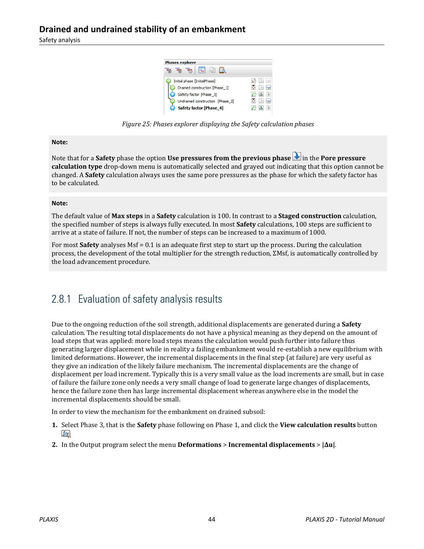| <b>Phases explorer</b>           |  |  |  |  |  |
|----------------------------------|--|--|--|--|--|
| ÷.                               |  |  |  |  |  |
| Initial phase [InitialPhase]     |  |  |  |  |  |
| Drained construction [Phase_1]   |  |  |  |  |  |
| Safety factor [Phase_3]          |  |  |  |  |  |
| Undrained construction [Phase 2] |  |  |  |  |  |
| <b>Safety factor [Phase 4]</b>   |  |  |  |  |  |

*Figure 25: Phases explorer displaying the Safety calculation phases*

#### **Note:**

Note that for a **Safety** phase the option **Use pressures from the previous phase**  $\blacksquare$  in the **Pore pressure calculation type** drop-down menu is automatically selected and grayed out indicating that this option cannot be changed. A **Safety** calculation always uses the same pore pressures as the phase for which the safety factor has to be calculated.

#### **Note:**

The default value of **Max steps** in a **Safety** calculation is 100. In contrast to a **Staged construction** calculation, the specified number of steps is always fully executed. In most **Safety** calculations, 100 steps are sufficient to arrive at a state of failure. If not, the number of steps can be increased to a maximum of 1000.

For most **Safety** analyses Msf = 0.1 is an adequate first step to start up the process. During the calculation process, the development of the total multiplier for the strength reduction, ΣMsf, is automatically controlled by the load advancement procedure.

### 2.8.1 Evaluation of safety analysis results

Due to the ongoing reduction of the soil strength, additional displacements are generated during a **Safety** calculation. The resulting total displacements do not have a physical meaning as they depend on the amount of load steps that was applied: more load steps means the calculation would push further into failure thus generating larger displacement while in reality a failing embankment would re-establish a new equilibrium with limited deformations. However, the incremental displacements in the final step (at failure) are very useful as they give an indication of the likely failure mechanism. The incremental displacements are the change of displacement per load increment. Typically this is a very small value as the load increments are small, but in case of failure the failure zone only needs a very small change of load to generate large changes of displacements, hence the failure zone then has large incremental displacement whereas anywhere else in the model the incremental displacements should be small.

In order to view the mechanism for the embankment on drained subsoil:

- **1.** Select Phase 3, that is the **Safety** phase following on Phase 1, and click the **View calculation results** button **.**
- **2.** In the Output program select the menu **Deformations** > **Incremental displacements** > **|Δu|**.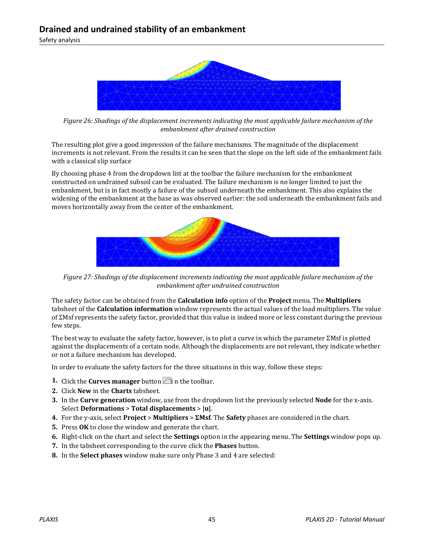

*Figure 26: Shadings of the displacement increments indicating the most applicable failure mechanism of the embankment after drained construction*

The resulting plot give a good impression of the failure mechanisms. The magnitude of the displacement increments is not relevant. From the results it can be seen that the slope on the left side of the embankment fails with a classical slip surface

By choosing phase 4 from the dropdown list at the toolbar the failure mechanism for the embankment constructed on undrained subsoil can be evaluated. The failure mechanism is no longer limited to just the embankment, but is in fact mostly a failure of the subsoil underneath the embankment. This also explains the widening of the embankment at the base as was observed earlier: the soil underneath the embankment fails and moves horizontally away from the center of the embankment.



*Figure 27: Shadings of the displacement increments indicating the most applicable failure mechanism of the embankment after undrained construction*

The safety factor can be obtained from the **Calculation info** option of the **Project** menu. The **Multipliers** tabsheet of the **Calculation information** window represents the actual values of the load multipliers. The value of ΣMsf represents the safety factor, provided that this value is indeed more or less constant during the previous few steps.

The best way to evaluate the safety factor, however, is to plot a curve in which the parameter ΣMsf is plotted against the displacements of a certain node. Although the displacements are not relevant, they indicate whether or not a failure mechanism has developed.

In order to evaluate the safety factors for the three situations in this way, follow these steps:

- **1.** Click the **Curves manager** button **in** in the toolbar.
- **2.** Click **New** in the **Charts** tabsheet.
- **3.** In the **Curve generation** window, use from the dropdown list the previously selected **Node** for the x-axis. Select **Deformations** > **Total displacements** > **|u|**.
- **4.** For the y-axis, select **Project** > **Multipliers** > **ΣMsf**. The **Safety** phases are considered in the chart.
- **5.** Press **OK** to close the window and generate the chart.
- **6.** Right-click on the chart and select the **Settings** option in the appearing menu. The **Settings** window pops up.
- **7.** In the tabsheet corresponding to the curve click the **Phases** button.
- **8.** In the **Select phases** window make sure only Phase 3 and 4 are selected: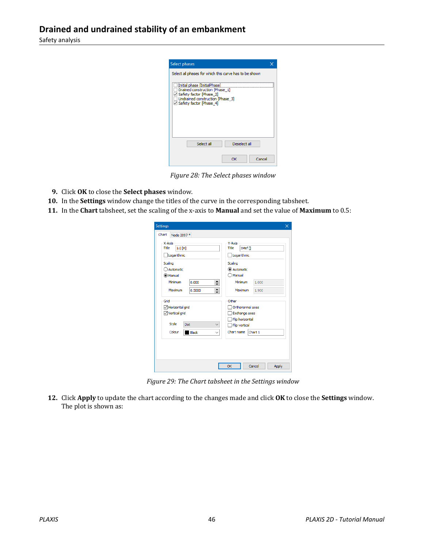| Select phases |                                                                                                                                                          |                                                        |  |
|---------------|----------------------------------------------------------------------------------------------------------------------------------------------------------|--------------------------------------------------------|--|
|               |                                                                                                                                                          | Select all phases for which this curve has to be shown |  |
|               | Initial phase [InitialPhase]<br>Drained construction [Phase 1]<br>Safety factor [Phase 2]<br>Undrained construction [Phase 3]<br>Safety factor [Phase 4] |                                                        |  |
|               |                                                                                                                                                          |                                                        |  |
|               | Select all                                                                                                                                               | Deselect all                                           |  |

*Figure 28: The Select phases window*

- **9.** Click **OK** to close the **Select phases** window.
- **10.** In the **Settings** window change the titles of the curve in the corresponding tabsheet.
- **11.** In the **Chart** tabsheet, set the scaling of the x-axis to **Manual** and set the value of **Maximum** to 0.5:

| Settings                                                          | $\times$                                |
|-------------------------------------------------------------------|-----------------------------------------|
| Chart<br>Node 2097*                                               |                                         |
| X-Axis<br>Title<br>lul [m]                                        | Y-Axis<br>Title<br>2Msf                 |
| Logarithmic                                                       | Logarithmic                             |
| Scaling<br>○ Automatic                                            | Scaling<br>C Automatic                  |
| <b>Manual</b>                                                     | $\n  1$ Manual                          |
| $\div$<br>Minimum<br>0.000                                        | Minimum<br>1.000                        |
| $\blacktriangle$<br>Maximum<br>0.5000<br>$\overline{\phantom{0}}$ | Maximum<br>1,900                        |
| Grid                                                              | Other                                   |
| Horizontal grid                                                   | Orthonormal axes                        |
| $\vee$ Vertical grid                                              | <b>Exchange axes</b><br>Flip horizontal |
| <b>Style</b><br>Dot<br>$\checkmark$                               | Flip vertical                           |
| Colour<br>Black<br>$\checkmark$                                   | Chart name<br>Chart 1                   |
|                                                                   |                                         |
|                                                                   |                                         |
|                                                                   |                                         |
|                                                                   | Cancel<br>OK<br><b>Apply</b>            |

*Figure 29: The Chart tabsheet in the Settings window*

**12.** Click **Apply** to update the chart according to the changes made and click **OK** to close the **Settings** window. The plot is shown as: